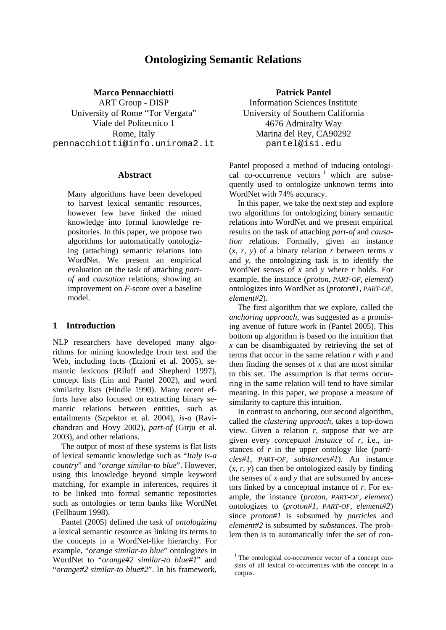# **Ontologizing Semantic Relations**

**Marco Pennacchiotti** 

ART Group - DISP University of Rome "Tor Vergata" Viale del Politecnico 1 Rome, Italy pennacchiotti@info.uniroma2.it

### **Abstract**

Many algorithms have been developed to harvest lexical semantic resources, however few have linked the mined knowledge into formal knowledge repositories. In this paper, we propose two algorithms for automatically ontologizing (attaching) semantic relations into WordNet. We present an empirical evaluation on the task of attaching *partof* and *causation* relations, showing an improvement on *F*-score over a baseline model.

## **1 Introduction**

NLP researchers have developed many algorithms for mining knowledge from text and the Web, including facts (Etzioni et al. 2005), semantic lexicons (Riloff and Shepherd 1997), concept lists (Lin and Pantel 2002), and word similarity lists (Hindle 1990). Many recent efforts have also focused on extracting binary semantic relations between entities, such as entailments (Szpektor et al. 2004), *is-a* (Ravichandran and Hovy 2002), *part-of* (Girju et al. 2003), and other relations.

The output of most of these systems is flat lists of lexical semantic knowledge such as "*Italy is-a country*" and "*orange similar-to blue*". However, using this knowledge beyond simple keyword matching, for example in inferences, requires it to be linked into formal semantic repositories such as ontologies or term banks like WordNet (Fellbaum 1998).

Pantel (2005) defined the task of *ontologizing* a lexical semantic resource as linking its terms to the concepts in a WordNet-like hierarchy. For example, "*orange similar-to blue*" ontologizes in WordNet to "*orange#2 similar-to blue#1*" and "*orange#2 similar-to blue#2*". In his framework,

## **Patrick Pantel**

Information Sciences Institute University of Southern California 4676 Admiralty Way Marina del Rey, CA90292 pantel@isi.edu

Pantel proposed a method of inducing ontological co-occurrence vectors  $\frac{1}{1}$  which are subsequently used to ontologize unknown terms into WordNet with 74% accuracy.

In this paper, we take the next step and explore two algorithms for ontologizing binary semantic relations into WordNet and we present empirical results on the task of attaching *part-of* and *causation* relations. Formally, given an instance  $(x, r, y)$  of a binary relation *r* between terms *x* and *y*, the ontologizing task is to identify the WordNet senses of *x* and *y* where *r* holds. For example, the instance (*proton, PART-OF, element*) ontologizes into WordNet as (*proton#1, PART-OF, element#2*).

The first algorithm that we explore, called the *anchoring approach*, was suggested as a promising avenue of future work in (Pantel 2005). This bottom up algorithm is based on the intuition that *x* can be disambiguated by retrieving the set of terms that occur in the same relation *r* with *y* and then finding the senses of  $x$  that are most similar to this set. The assumption is that terms occurring in the same relation will tend to have similar meaning. In this paper, we propose a measure of similarity to capture this intuition.

In contrast to anchoring, our second algorithm, called the *clustering approach*, takes a top-down view. Given a relation *r*, suppose that we are given every *conceptual instance* of *r*, i.e., instances of *r* in the upper ontology like (*particles#1, PART-OF, substances#1*). An instance  $(x, r, y)$  can then be ontologized easily by finding the senses of *x* and *y* that are subsumed by ancestors linked by a conceptual instance of *r*. For example, the instance (*proton, PART-OF, element*) ontologizes to (*proton#1, PART-OF, element#2*) since *proton#1* is subsumed by *particles* and *element#2* is subsumed by *substances*. The problem then is to automatically infer the set of con-

<sup>&</sup>lt;sup>1</sup> The ontological co-occurrence vector of a concept consists of all lexical co-occurrences with the concept in a corpus.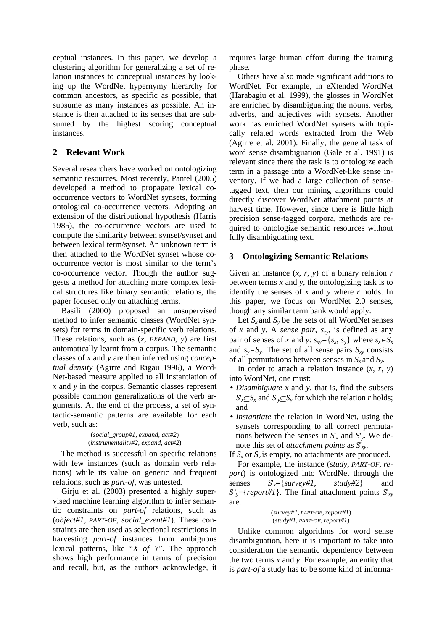ceptual instances. In this paper, we develop a clustering algorithm for generalizing a set of relation instances to conceptual instances by looking up the WordNet hypernymy hierarchy for common ancestors, as specific as possible, that subsume as many instances as possible. An instance is then attached to its senses that are subsumed by the highest scoring conceptual instances.

# **2 Relevant Work**

Several researchers have worked on ontologizing semantic resources. Most recently, Pantel (2005) developed a method to propagate lexical cooccurrence vectors to WordNet synsets, forming ontological co-occurrence vectors. Adopting an extension of the distributional hypothesis (Harris 1985), the co-occurrence vectors are used to compute the similarity between synset/synset and between lexical term/synset. An unknown term is then attached to the WordNet synset whose cooccurrence vector is most similar to the term's co-occurrence vector. Though the author suggests a method for attaching more complex lexical structures like binary semantic relations, the paper focused only on attaching terms.

Basili (2000) proposed an unsupervised method to infer semantic classes (WordNet synsets) for terms in domain-specific verb relations. These relations, such as (*x*, *EXPAND*, *y*) are first automatically learnt from a corpus. The semantic classes of *x* and *y* are then inferred using *conceptual density* (Agirre and Rigau 1996), a Word-Net-based measure applied to all instantiation of *x* and *y* in the corpus. Semantic classes represent possible common generalizations of the verb arguments. At the end of the process, a set of syntactic-semantic patterns are available for each verb, such as:

```
(social_group#1, expand, act#2) 
(instrumentality#2, expand, act#2)
```
The method is successful on specific relations with few instances (such as domain verb relations) while its value on generic and frequent relations, such as *part-of*, was untested.

Girju et al. (2003) presented a highly supervised machine learning algorithm to infer semantic constraints on *part-of* relations, such as (*object#1, PART-OF, social\_event#1*). These constraints are then used as selectional restrictions in harvesting *part-of* instances from ambiguous lexical patterns, like "*X of Y*". The approach shows high performance in terms of precision and recall, but, as the authors acknowledge, it requires large human effort during the training phase.

Others have also made significant additions to WordNet. For example, in eXtended WordNet (Harabagiu et al. 1999), the glosses in WordNet are enriched by disambiguating the nouns, verbs, adverbs, and adjectives with synsets. Another work has enriched WordNet synsets with topically related words extracted from the Web (Agirre et al. 2001). Finally, the general task of word sense disambiguation (Gale et al. 1991) is relevant since there the task is to ontologize each term in a passage into a WordNet-like sense inventory. If we had a large collection of sensetagged text, then our mining algorithms could directly discover WordNet attachment points at harvest time. However, since there is little high precision sense-tagged corpora, methods are required to ontologize semantic resources without fully disambiguating text.

# **3 Ontologizing Semantic Relations**

Given an instance  $(x, r, y)$  of a binary relation  $r$ between terms  $x$  and  $y$ , the ontologizing task is to identify the senses of *x* and *y* where *r* holds. In this paper, we focus on WordNet 2.0 senses, though any similar term bank would apply.

Let  $S_x$  and  $S_y$  be the sets of all WordNet senses of *x* and *y*. A *sense pair*,  $s_{xy}$ , is defined as any pair of senses of *x* and *y*:  $s_{xy} = \{s_x, s_y\}$  where  $s_x \in S_x$ and  $s_y \in S_y$ . The set of all sense pairs  $S_{xy}$  consists of all permutations between senses in  $S_x$  and  $S_y$ .

In order to attach a relation instance  $(x, r, y)$ into WordNet, one must:

- *Disambiguate x* and *y*, that is, find the subsets  $S'_x \subseteq S_x$  and  $S'_y \subseteq S_y$  for which the relation *r* holds; and
- *Instantiate* the relation in WordNet, using the synsets corresponding to all correct permutations between the senses in  $S'_x$  and  $S'_y$ . We denote this set of *attachment points* as *S*'*xy*.

If  $S_x$  or  $S_y$  is empty, no attachments are produced.

For example, the instance (*study, PART-OF, report*) is ontologized into WordNet through the senses *S*'*x*={*survey#1*, *study#2*} and *S'y*={*report#1*}. The final attachment points *S*'*xy* are:

#### (*survey#1, PART-OF, report#1*) (*study#1, PART-OF, report#1*)

Unlike common algorithms for word sense disambiguation, here it is important to take into consideration the semantic dependency between the two terms *x* and *y*. For example, an entity that is *part-of* a study has to be some kind of informa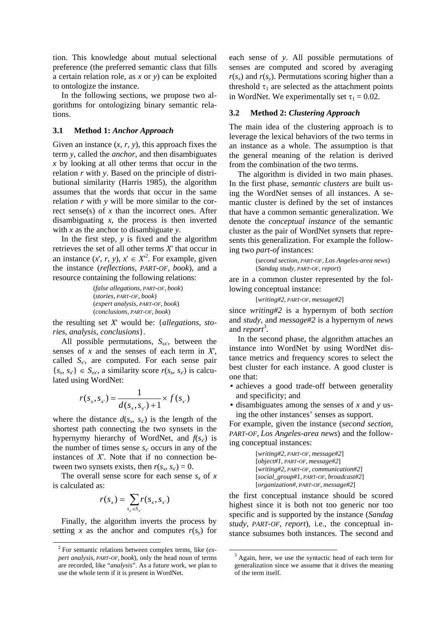tion. This knowledge about mutual selectional preference (the preferred semantic class that fills a certain relation role, as *x* or *y*) can be exploited to ontologize the instance.

In the following sections, we propose two algorithms for ontologizing binary semantic relations.

## **3.1 Method 1:** *Anchor Approach*

Given an instance  $(x, r, y)$ , this approach fixes the term *y*, called the *anchor*, and then disambiguates *x* by looking at all other terms that occur in the relation *r* with *y*. Based on the principle of distributional similarity (Harris 1985), the algorithm assumes that the words that occur in the same relation *r* with *y* will be more similar to the correct sense(s) of *x* than the incorrect ones. After disambiguating *x*, the process is then inverted with *x* as the anchor to disambiguate *y*.

In the first step, *y* is fixed and the algorithm retrieves the set of all other terms *X*' that occur in an instance  $(x^r, r, y), x^r \in X^{2}$ . For example, given the instance (*reflections, PART-OF, book*), and a resource containing the following relations:

> (*false allegations, PART-OF, book*) (*stories, PART-OF, book*) (*expert analysis, PART-OF, book*) (*conclusions, PART-OF, book*)

the resulting set *X*' would be: {*allegations*, *stories*, *analysis*, *conclusions*}.

All possible permutations,  $S_{xx}$ , between the senses of *x* and the senses of each term in *X*', called  $S_x$ , are computed. For each sense pair  ${s_x, s_{x'}} \in S_{xx}$ , a similarity score  $r(s_x, s_x)$  is calculated using WordNet:

$$
r(s_x, s_{x'}) = \frac{1}{d(s_x, s_{x'}) + 1} \times f(s_{x'})
$$

where the distance  $d(s_x, s_x)$  is the length of the shortest path connecting the two synsets in the hypernymy hierarchy of WordNet, and  $f(s_x)$  is the number of times sense  $s_{x}$  occurs in any of the instances of *X*'. Note that if no connection between two synsets exists, then  $r(s_x, s_x) = 0$ .

The overall sense score for each sense  $s_x$  of  $x$ is calculated as:

$$
r(s_x) = \sum_{s_x \in S_{x'}} r(s_x, s_{x'})
$$

Finally, the algorithm inverts the process by setting *x* as the anchor and computes  $r(s_y)$  for each sense of *y*. All possible permutations of senses are computed and scored by averaging  $r(s_x)$  and  $r(s_y)$ . Permutations scoring higher than a threshold  $\tau_1$  are selected as the attachment points in WordNet. We experimentally set  $\tau_1 = 0.02$ .

#### **3.2 Method 2:** *Clustering Approach*

The main idea of the clustering approach is to leverage the lexical behaviors of the two terms in an instance as a whole. The assumption is that the general meaning of the relation is derived from the combination of the two terms.

The algorithm is divided in two main phases. In the first phase, *semantic clusters* are built using the WordNet senses of all instances. A semantic cluster is defined by the set of instances that have a common semantic generalization. We denote the *conceptual instance* of the semantic cluster as the pair of WordNet synsets that represents this generalization. For example the following two *part-of* instances:

> (*second section, PART-OF, Los Angeles-area news*) (*Sandag study, PART-OF, report*)

are in a common cluster represented by the following conceptual instance:

[*writing#2, PART-OF, message#2*]

since *writing#2* is a hypernym of both *section* and *study*, and *message#2* is a hypernym of *news* and *report*<sup>3</sup>.

In the second phase, the algorithm attaches an instance into WordNet by using WordNet distance metrics and frequency scores to select the best cluster for each instance. A good cluster is one that:

- achieves a good trade-off between generality and specificity; and
- disambiguates among the senses of *x* and *y* using the other instances' senses as support.

For example, given the instance (*second section, PART-OF, Los Angeles-area news*) and the following conceptual instances:

> [*writing#2, PART-OF, message#2*] [*object#1, PART-OF, message#2*] [*writing#2, PART-OF, communication#2*] [*social\_group#1, PART-OF, broadcast#2*] [*organization#, PART-OF, message#2*]

the first conceptual instance should be scored highest since it is both not too generic nor too specific and is supported by the instance (*Sandag study, PART-OF, report*), i.e., the conceptual instance subsumes both instances. The second and

 <sup>2</sup> For semantic relations between complex terms, like (*expert analysis, PART-OF, book*), only the head noun of terms are recorded, like "*analysis*". As a future work, we plan to use the whole term if it is present in WordNet.

<sup>&</sup>lt;sup>3</sup> Again, here, we use the syntactic head of each term for generalization since we assume that it drives the meaning of the term itself.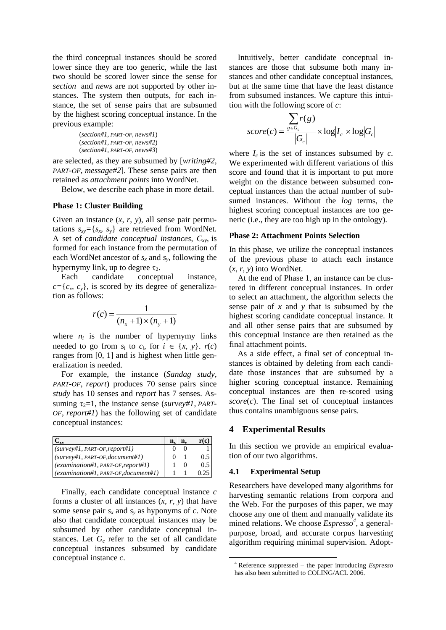the third conceptual instances should be scored lower since they are too generic, while the last two should be scored lower since the sense for *section* and *news* are not supported by other instances. The system then outputs, for each instance, the set of sense pairs that are subsumed by the highest scoring conceptual instance. In the previous example:

> (*section#1, PART-OF, news#1*) (*section#1, PART-OF, news#2*) (*section#1, PART-OF, news#3*)

are selected, as they are subsumed by [*writing#2, PART-OF, message#2*]. These sense pairs are then retained as *attachment points* into WordNet.

Below, we describe each phase in more detail.

#### **Phase 1: Cluster Building**

Given an instance  $(x, r, y)$ , all sense pair permutations  $s_{xy} = \{s_x, s_y\}$  are retrieved from WordNet. A set of *candidate conceptual instances*,  $C_{xy}$ , is formed for each instance from the permutation of each WordNet ancestor of  $s_x$  and  $s_y$ , following the hypernymy link, up to degree  $\tau_2$ .

Each candidate conceptual instance,  $c=\{c_i, c_v\}$ , is scored by its degree of generalization as follows:

$$
r(c) = \frac{1}{(n_x + 1) \times (n_y + 1)}
$$

where  $n_i$  is the number of hypernymy links needed to go from  $s_i$  to  $c_i$ , for  $i \in \{x, y\}$ .  $r(c)$ ranges from [0, 1] and is highest when little generalization is needed.

For example, the instance (*Sandag study, PART-OF, report*) produces 70 sense pairs since *study* has 10 senses and *report* has 7 senses. Assuming  $\tau_2=1$ , the instance sense (*survey#1*, *PART*-*OF, report#1*) has the following set of candidate conceptual instances:

| $C_{xy}$                                     | $n_{\rm v}$ | r(c) |
|----------------------------------------------|-------------|------|
| $(surve \#I, PART-OF, report \#I)$           |             |      |
| $(surve \#1, PART-OF, document \#1)$         |             | 0.5  |
| $(examination#1, PART-OF, report#1)$         |             | 0.5  |
| $\vert$ (examination#1, PART-OF, document#1) |             |      |

Finally, each candidate conceptual instance *c* forms a cluster of all instances  $(x, r, y)$  that have some sense pair  $s_x$  and  $s_y$  as hyponyms of *c*. Note also that candidate conceptual instances may be subsumed by other candidate conceptual instances. Let  $G_c$  refer to the set of all candidate conceptual instances subsumed by candidate conceptual instance *c*.

Intuitively, better candidate conceptual instances are those that subsume both many instances and other candidate conceptual instances, but at the same time that have the least distance from subsumed instances. We capture this intuition with the following score of *c*:

$$
score(c) = \frac{\sum_{g \in G_c} r(g)}{|G_c|} \times \log |I_c| \times \log |G_c|
$$

where  $I_c$  is the set of instances subsumed by  $c$ . We experimented with different variations of this score and found that it is important to put more weight on the distance between subsumed conceptual instances than the actual number of subsumed instances. Without the *log* terms, the highest scoring conceptual instances are too generic (i.e., they are too high up in the ontology).

## **Phase 2: Attachment Points Selection**

In this phase, we utilize the conceptual instances of the previous phase to attach each instance  $(x, r, y)$  into WordNet.

At the end of Phase 1, an instance can be clustered in different conceptual instances. In order to select an attachment, the algorithm selects the sense pair of *x* and *y* that is subsumed by the highest scoring candidate conceptual instance. It and all other sense pairs that are subsumed by this conceptual instance are then retained as the final attachment points.

As a side effect, a final set of conceptual instances is obtained by deleting from each candidate those instances that are subsumed by a higher scoring conceptual instance. Remaining conceptual instances are then re-scored using  $score(c)$ . The final set of conceptual instances thus contains unambiguous sense pairs.

### **4 Experimental Results**

In this section we provide an empirical evaluation of our two algorithms.

#### **4.1 Experimental Setup**

Researchers have developed many algorithms for harvesting semantic relations from corpora and the Web. For the purposes of this paper, we may choose any one of them and manually validate its mined relations. We choose *Espresso<sup>4</sup>* , a generalpurpose, broad, and accurate corpus harvesting algorithm requiring minimal supervision. Adopt-

 <sup>4</sup> Reference suppressed – the paper introducing *Espresso* has also been submitted to COLING/ACL 2006.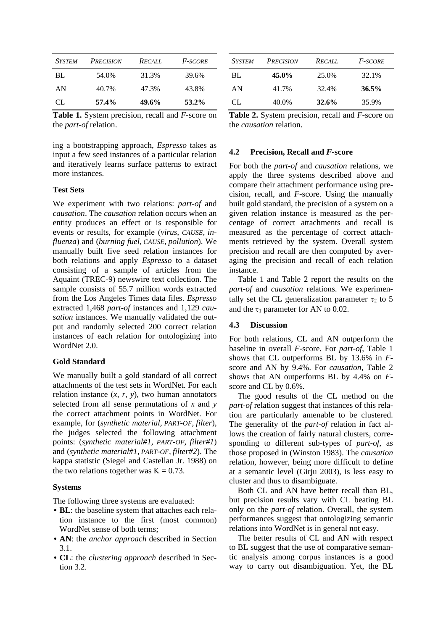| <b>SYSTEM</b> | <b>PRECISION</b> | <b>RECALL</b> | F-SCORE  |
|---------------|------------------|---------------|----------|
| BL.           | 54.0%            | 31.3%         | 39.6%    |
| AN            | 40.7%            | 47.3%         | 43.8%    |
| CL.           | 57.4%            | 49.6%         | $53.2\%$ |

**Table 1.** System precision, recall and *F*-score on the *part-of* relation.

ing a bootstrapping approach, *Espresso* takes as input a few seed instances of a particular relation and iteratively learns surface patterns to extract more instances.

## **Test Sets**

We experiment with two relations: *part-of* and *causation*. The *causation* relation occurs when an entity produces an effect or is responsible for events or results, for example (*virus, CAUSE, influenza*) and (*burning fuel, CAUSE, pollution*). We manually built five seed relation instances for both relations and apply *Espresso* to a dataset consisting of a sample of articles from the Aquaint (TREC-9) newswire text collection. The sample consists of 55.7 million words extracted from the Los Angeles Times data files. *Espresso* extracted 1,468 *part-of* instances and 1,129 *causation* instances. We manually validated the output and randomly selected 200 correct relation instances of each relation for ontologizing into WordNet 2.0.

#### **Gold Standard**

We manually built a gold standard of all correct attachments of the test sets in WordNet. For each relation instance  $(x, r, y)$ , two human annotators selected from all sense permutations of *x* and *y* the correct attachment points in WordNet. For example, for (*synthetic material, PART-OF, filter*), the judges selected the following attachment points: (*synthetic material#1, PART-OF, filter#1*) and (*synthetic material#1, PART-OF, filter#2*). The kappa statistic (Siegel and Castellan Jr. 1988) on the two relations together was  $K = 0.73$ .

## **Systems**

The following three systems are evaluated:

- **BL**: the baseline system that attaches each relation instance to the first (most common) WordNet sense of both terms;
- **AN**: the *anchor approach* described in Section 3.1.
- **CL**: the *clustering approach* described in Section 3.2.

| <b>SYSTEM</b> | <b>PRECISION</b> | <b>RECALL</b> | F-SCORE  |
|---------------|------------------|---------------|----------|
| BL            | 45.0%            | 25.0%         | 32.1%    |
| AN            | 41.7%            | 32.4%         | $36.5\%$ |
| CL.           | 40.0%            | 32.6%         | 35.9%    |

**Table 2.** System precision, recall and *F*-score on the *causation* relation.

### **4.2 Precision, Recall and** *F***-score**

For both the *part-of* and *causation* relations, we apply the three systems described above and compare their attachment performance using precision, recall, and *F*-score. Using the manually built gold standard, the precision of a system on a given relation instance is measured as the percentage of correct attachments and recall is measured as the percentage of correct attachments retrieved by the system. Overall system precision and recall are then computed by averaging the precision and recall of each relation instance.

Table 1 and Table 2 report the results on the *part-of* and *causation* relations. We experimentally set the CL generalization parameter  $\tau_2$  to 5 and the  $\tau_1$  parameter for AN to 0.02.

#### **4.3 Discussion**

For both relations, CL and AN outperform the baseline in overall *F*-score. For *part-of*, Table 1 shows that CL outperforms BL by 13.6% in *F*score and AN by 9.4%. For *causation*, Table 2 shows that AN outperforms BL by 4.4% on *F*score and CL by 0.6%.

The good results of the CL method on the *part-of* relation suggest that instances of this relation are particularly amenable to be clustered. The generality of the *part-of* relation in fact allows the creation of fairly natural clusters, corresponding to different sub-types of *part-of*, as those proposed in (Winston 1983). The *causation*  relation, however, being more difficult to define at a semantic level (Girju 2003), is less easy to cluster and thus to disambiguate.

Both CL and AN have better recall than BL, but precision results vary with CL beating BL only on the *part-of* relation. Overall, the system performances suggest that ontologizing semantic relations into WordNet is in general not easy.

The better results of CL and AN with respect to BL suggest that the use of comparative semantic analysis among corpus instances is a good way to carry out disambiguation. Yet, the BL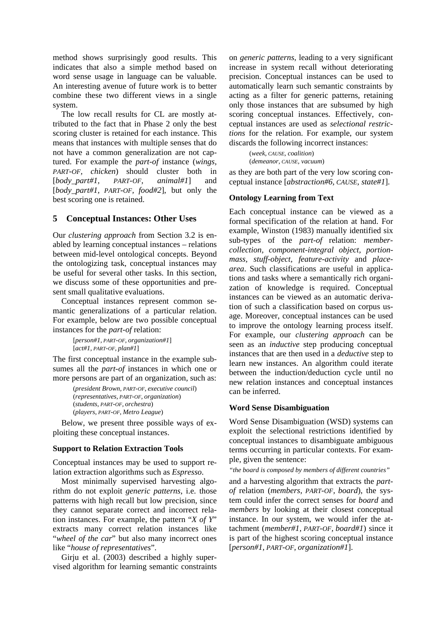method shows surprisingly good results. This indicates that also a simple method based on word sense usage in language can be valuable. An interesting avenue of future work is to better combine these two different views in a single system.

The low recall results for CL are mostly attributed to the fact that in Phase 2 only the best scoring cluster is retained for each instance. This means that instances with multiple senses that do not have a common generalization are not captured. For example the *part-of* instance (*wings, PART-OF, chicken*) should cluster both in [*body\_part#1, PART-OF, animal#1*] and [*body\_part#1, PART-OF, food#2*], but only the best scoring one is retained.

# **5 Conceptual Instances: Other Uses**

Our *clustering approach* from Section 3.2 is enabled by learning conceptual instances – relations between mid-level ontological concepts. Beyond the ontologizing task, conceptual instances may be useful for several other tasks. In this section, we discuss some of these opportunities and present small qualitative evaluations.

Conceptual instances represent common semantic generalizations of a particular relation. For example, below are two possible conceptual instances for the *part-of* relation:

> [*person#1, PART-OF, organization#1*] [*act#1, PART-OF, plan#1*]

The first conceptual instance in the example subsumes all the *part-of* instances in which one or more persons are part of an organization, such as:

> (*president Brown, PART-OF, executive council*) (*representatives, PART-OF, organization*) (*students, PART-OF, orchestra*) (*players, PART-OF, Metro League*)

Below, we present three possible ways of exploiting these conceptual instances.

# **Support to Relation Extraction Tools**

Conceptual instances may be used to support relation extraction algorithms such as *Espresso*.

Most minimally supervised harvesting algorithm do not exploit *generic patterns*, i.e. those patterns with high recall but low precision, since they cannot separate correct and incorrect relation instances. For example, the pattern "*X of Y*" extracts many correct relation instances like "*wheel of the car*" but also many incorrect ones like "*house of representatives*".

Girju et al. (2003) described a highly supervised algorithm for learning semantic constraints on *generic patterns*, leading to a very significant increase in system recall without deteriorating precision. Conceptual instances can be used to automatically learn such semantic constraints by acting as a filter for generic patterns, retaining only those instances that are subsumed by high scoring conceptual instances. Effectively, conceptual instances are used as *selectional restrictions* for the relation. For example, our system discards the following incorrect instances:

> (*week, CAUSE, coalition*) (*demeanor, CAUSE, vacuum*)

as they are both part of the very low scoring conceptual instance [*abstraction#6, CAUSE, state#1*].

# **Ontology Learning from Text**

Each conceptual instance can be viewed as a formal specification of the relation at hand. For example, Winston (1983) manually identified six sub-types of the *part-of* relation: *membercollection, component-integral object, portionmass, stuff-object, feature-activity* and *placearea*. Such classifications are useful in applications and tasks where a semantically rich organization of knowledge is required. Conceptual instances can be viewed as an automatic derivation of such a classification based on corpus usage. Moreover, conceptual instances can be used to improve the ontology learning process itself. For example, our *clustering approach* can be seen as an *inductive* step producing conceptual instances that are then used in a *deductive* step to learn new instances. An algorithm could iterate between the induction/deduction cycle until no new relation instances and conceptual instances can be inferred.

# **Word Sense Disambiguation**

Word Sense Disambiguation (WSD) systems can exploit the selectional restrictions identified by conceptual instances to disambiguate ambiguous terms occurring in particular contexts. For example, given the sentence:

*"the board is composed by members of different countries"* 

and a harvesting algorithm that extracts the *partof* relation (*members, PART-OF, board*), the system could infer the correct senses for *board* and *members* by looking at their closest conceptual instance. In our system, we would infer the attachment (*member#1, PART-OF, board#1*) since it is part of the highest scoring conceptual instance [*person#1, PART-OF, organization#1*].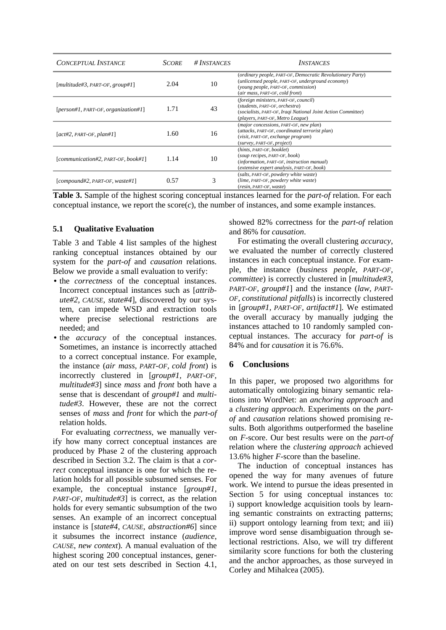| CONCEPTUAL INSTANCE                   | <b>SCORE</b> | # INSTANCES | <b>INSTANCES</b>                                                                                                                                                                          |
|---------------------------------------|--------------|-------------|-------------------------------------------------------------------------------------------------------------------------------------------------------------------------------------------|
| $[multitude #3, PART-OF, group #1]$   | 2.04         | 10          | (ordinary people, PART-OF, Democratic Revolutionary Party)<br>(unlicensed people, PART-OF, underground economy)<br>(young people, PART-OF, commission)<br>(air mass, PART-OF, cold front) |
| $[person#1, PART-OF, organization#1]$ | 1.71         | 43          | (foreign ministers, PART-OF, council)<br>(students, PART-OF, orchestra)<br>(socialists, PART-OF, Iraqi National Joint Action Committee)<br>(players, PART-OF, Metro League)               |
| $[act \#2, PART-OF, plan \#1]$        | 1.60         | 16          | (major concessions, PART-OF, new plan)<br>(attacks, PART-OF, coordinated terrorist plan)<br>(visit, PART-OF, exchange program)<br>(survey, PART-OF, project)                              |
| [communication#2, PART-OF, book#1]    | 1.14         | 10          | (hints, PART-OF, booklet)<br>(soup recipes, PART-OF, book)<br>(information, PART-OF, instruction manual)<br>(extensive expert analysis, PART-OF, book)                                    |
| [compound#2, PART-OF, waste#1]        | 0.57         | 3           | (salts, PART-OF, powdery white waste)<br>(lime, PART-OF, powdery white waste)<br>(resin, PART-OF, waste)                                                                                  |

**Table 3.** Sample of the highest scoring conceptual instances learned for the *part-of* relation. For each conceptual instance, we report the  $score(c)$ , the number of instances, and some example instances.

## **5.1 Qualitative Evaluation**

Table 3 and Table 4 list samples of the highest ranking conceptual instances obtained by our system for the *part-of* and *causation* relations. Below we provide a small evaluation to verify:

- the *correctness* of the conceptual instances. Incorrect conceptual instances such as [*attribute#2, CAUSE, state#4*], discovered by our system, can impede WSD and extraction tools where precise selectional restrictions are needed; and
- the *accuracy* of the conceptual instances. Sometimes, an instance is incorrectly attached to a correct conceptual instance. For example, the instance (*air mass, PART-OF, cold front*) is incorrectly clustered in [*group#1, PART-OF, multitude#3*] since *mass* and *front* both have a sense that is descendant of *group#1* and *multitude#3*. However, these are not the correct senses of *mass* and *front* for which the *part-of* relation holds.

For evaluating *correctness,* we manually verify how many correct conceptual instances are produced by Phase 2 of the clustering approach described in Section 3.2. The claim is that a *correct* conceptual instance is one for which the relation holds for all possible subsumed senses. For example, the conceptual instance [*group#1, PART-OF, multitude#3*] is correct, as the relation holds for every semantic subsumption of the two senses. An example of an incorrect conceptual instance is [*state#4, CAUSE, abstraction#6*] since it subsumes the incorrect instance (*audience*, *CAUSE*, *new context*)*.* A manual evaluation of the highest scoring 200 conceptual instances, generated on our test sets described in Section 4.1,

showed 82% correctness for the *part-of* relation and 86% for *causation*.

For estimating the overall clustering *accuracy*, we evaluated the number of correctly clustered instances in each conceptual instance. For example, the instance (*business people, PART-OF, committee*) is correctly clustered in [*multitude#3, PART-OF, group#1*] and the instance (*law, PART-OF, constitutional pitfalls*) is incorrectly clustered in [*group#1, PART-OF, artifact#1*]. We estimated the overall accuracy by manually judging the instances attached to 10 randomly sampled conceptual instances. The accuracy for *part-of* is 84% and for *causation* it is 76.6%.

# **6 Conclusions**

In this paper, we proposed two algorithms for automatically ontologizing binary semantic relations into WordNet: an *anchoring approach* and a *clustering approach*. Experiments on the *partof* and *causation* relations showed promising results. Both algorithms outperformed the baseline on *F*-score. Our best results were on the *part-of* relation where the *clustering approach* achieved 13.6% higher *F*-score than the baseline.

The induction of conceptual instances has opened the way for many avenues of future work. We intend to pursue the ideas presented in Section 5 for using conceptual instances to: i) support knowledge acquisition tools by learning semantic constraints on extracting patterns; ii) support ontology learning from text; and iii) improve word sense disambiguation through selectional restrictions. Also, we will try different similarity score functions for both the clustering and the anchor approaches, as those surveyed in Corley and Mihalcea (2005).